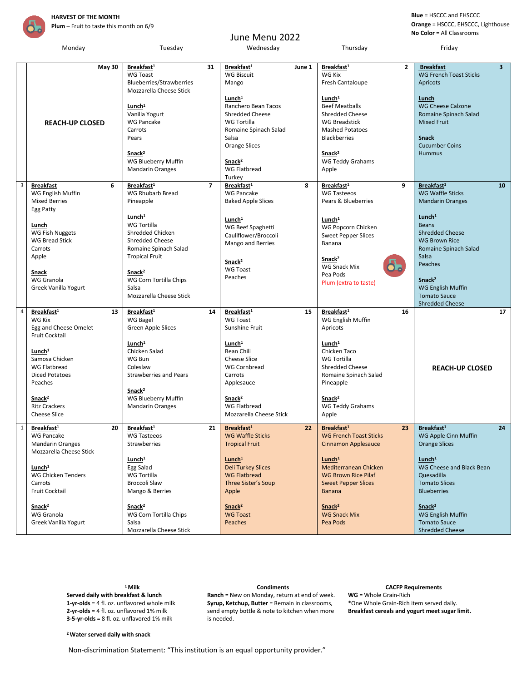

## June Menu 2022

**Blue** = HSCCC and EHSCCC **Orange** = HSCCC, EHSCCC, Lighthouse **No Color** = All Classrooms

|   | Monday                                                                                                                                                                                                                                                           | Tuesday                                                                                                                                                                                                                              |                | Wednesday                                                                                                                                                                                                                                                |        | Thursday                                                                                                                                                                                                                                                                                   |                | Friday                                                                                                                                                                                                                                                                                             |
|---|------------------------------------------------------------------------------------------------------------------------------------------------------------------------------------------------------------------------------------------------------------------|--------------------------------------------------------------------------------------------------------------------------------------------------------------------------------------------------------------------------------------|----------------|----------------------------------------------------------------------------------------------------------------------------------------------------------------------------------------------------------------------------------------------------------|--------|--------------------------------------------------------------------------------------------------------------------------------------------------------------------------------------------------------------------------------------------------------------------------------------------|----------------|----------------------------------------------------------------------------------------------------------------------------------------------------------------------------------------------------------------------------------------------------------------------------------------------------|
|   | <b>May 30</b>                                                                                                                                                                                                                                                    | Breakfast <sup>1</sup><br><b>WG Toast</b><br>Blueberries/Strawberries<br>Mozzarella Cheese Stick<br>Lunch <sup>1</sup><br>Vanilla Yogurt                                                                                             | 31             | Breakfast <sup>1</sup><br><b>WG Biscuit</b><br>Mango<br>Lunch <sup>1</sup><br>Ranchero Bean Tacos<br><b>Shredded Cheese</b>                                                                                                                              | June 1 | Breakfast <sup>1</sup><br>WG Kix<br>Fresh Cantaloupe<br>Lunch <sup>1</sup><br><b>Beef Meatballs</b><br>Shredded Cheese                                                                                                                                                                     | $\overline{2}$ | <b>Breakfast</b><br>$\overline{3}$<br><b>WG French Toast Sticks</b><br>Apricots<br>Lunch<br><b>WG Cheese Calzone</b><br>Romaine Spinach Salad                                                                                                                                                      |
|   | <b>REACH-UP CLOSED</b>                                                                                                                                                                                                                                           | <b>WG Pancake</b><br>Carrots<br>Pears<br>Snack <sup>2</sup><br>WG Blueberry Muffin<br><b>Mandarin Oranges</b>                                                                                                                        |                | WG Tortilla<br>Romaine Spinach Salad<br>Salsa<br>Orange Slices<br>Snack <sup>2</sup><br>WG Flatbread<br>Turkey                                                                                                                                           |        | <b>WG Breadstick</b><br><b>Mashed Potatoes</b><br><b>Blackberries</b><br>Snack <sup>2</sup><br><b>WG Teddy Grahams</b><br>Apple                                                                                                                                                            |                | <b>Mixed Fruit</b><br><b>Snack</b><br><b>Cucumber Coins</b><br><b>Hummus</b>                                                                                                                                                                                                                       |
| 3 | <b>Breakfast</b><br>6<br>WG English Muffin<br><b>Mixed Berries</b><br>Egg Patty                                                                                                                                                                                  | Breakfast <sup>1</sup><br><b>WG Rhubarb Bread</b><br>Pineapple                                                                                                                                                                       | $\overline{7}$ | Breakfast <sup>1</sup><br><b>WG Pancake</b><br><b>Baked Apple Slices</b>                                                                                                                                                                                 | 8      | Breakfast <sup>1</sup><br>9<br><b>WG Tasteeos</b><br>Pears & Blueberries                                                                                                                                                                                                                   |                | Breakfast <sup>1</sup><br>10<br><b>WG Waffle Sticks</b><br><b>Mandarin Oranges</b>                                                                                                                                                                                                                 |
|   | Lunch<br><b>WG Fish Nuggets</b><br><b>WG Bread Stick</b><br>Carrots<br>Apple<br>Snack<br>WG Granola<br>Greek Vanilla Yogurt                                                                                                                                      | Lunch <sup>1</sup><br>WG Tortilla<br>Shredded Chicken<br><b>Shredded Cheese</b><br>Romaine Spinach Salad<br><b>Tropical Fruit</b><br>Snack <sup>2</sup><br>WG Corn Tortilla Chips<br>Salsa<br>Mozzarella Cheese Stick                |                | Lunch <sup>1</sup><br>WG Beef Spaghetti<br>Cauliflower/Broccoli<br>Mango and Berries<br>Snack <sup>2</sup><br><b>WG Toast</b><br>Peaches                                                                                                                 |        | Lunch <sup>1</sup><br>WG Popcorn Chicken<br><b>Sweet Pepper Slices</b><br>Banana<br>Snack <sup>2</sup><br>WG Snack Mix<br>Pea Pods<br>Plum (extra to taste)                                                                                                                                |                | Lunch <sup>1</sup><br><b>Beans</b><br><b>Shredded Cheese</b><br><b>WG Brown Rice</b><br>Romaine Spinach Salad<br>Salsa<br>Peaches<br>Snack <sup>2</sup><br>WG English Muffin<br><b>Tomato Sauce</b><br><b>Shredded Cheese</b>                                                                      |
| 4 | Breakfast <sup>1</sup><br>13<br><b>WG Kix</b><br>Egg and Cheese Omelet<br>Fruit Cocktail<br>Lunch <sup>1</sup><br>Samosa Chicken<br><b>WG Flatbread</b><br><b>Diced Potatoes</b><br>Peaches<br>Snack <sup>2</sup><br><b>Ritz Crackers</b><br><b>Cheese Slice</b> | Breakfast <sup>1</sup><br>WG Bagel<br>Green Apple Slices<br>Lunch <sup>1</sup><br>Chicken Salad<br>WG Bun<br>Coleslaw<br><b>Strawberries and Pears</b><br>Snack <sup>2</sup><br>WG Blueberry Muffin<br><b>Mandarin Oranges</b>       | 14             | Breakfast <sup>1</sup><br><b>WG Toast</b><br>Sunshine Fruit<br>Lunch <sup>1</sup><br>Bean Chili<br><b>Cheese Slice</b><br>WG Cornbread<br>Carrots<br>Applesauce<br>Snack <sup>2</sup><br><b>WG Flatbread</b><br>Mozzarella Cheese Stick                  | 15     | Breakfast <sup>1</sup><br>WG English Muffin<br>Apricots<br>Lunch <sup>1</sup><br>Chicken Taco<br>WG Tortilla<br><b>Shredded Cheese</b><br>Romaine Spinach Salad<br>Pineapple<br>Snack <sup>2</sup><br>WG Teddy Grahams<br>Apple                                                            | 16             | 17<br><b>REACH-UP CLOSED</b>                                                                                                                                                                                                                                                                       |
|   | $1$ Breakfast <sup>1</sup><br><b>WG Pancake</b><br><b>Mandarin Oranges</b><br>Mozzarella Cheese Stick<br>Lunch <sup>1</sup><br><b>WG Chicken Tenders</b><br>Carrots<br><b>Fruit Cocktail</b><br>Snack <sup>2</sup><br>WG Granola<br>Greek Vanilla Yogurt         | $20$ Breakfast <sup>1</sup><br>WG Tasteeos<br>Strawberries<br>Lunch <sup>1</sup><br>Egg Salad<br>WG Tortilla<br>Broccoli Slaw<br>Mango & Berries<br>Snack <sup>2</sup><br>WG Corn Tortilla Chips<br>Salsa<br>Mozzarella Cheese Stick |                | $\overline{21}$ Breakfast <sup>1</sup><br><b>WG Waffle Sticks</b><br><b>Tropical Fruit</b><br>Lunch <sup>1</sup><br><b>Deli Turkey Slices</b><br><b>WG Flatbread</b><br>Three Sister's Soup<br>Apple<br>Snack <sup>2</sup><br><b>WG Toast</b><br>Peaches |        | $\overline{22}$ Breakfast <sup>1</sup><br><b>WG French Toast Sticks</b><br><b>Cinnamon Applesauce</b><br>Lunch <sup>1</sup><br>Mediterranean Chicken<br><b>WG Brown Rice Pilaf</b><br><b>Sweet Pepper Slices</b><br><b>Banana</b><br>Snack <sup>2</sup><br><b>WG Snack Mix</b><br>Pea Pods |                | $23$ Breakfast <sup>1</sup><br>24<br>WG Apple Cinn Muffin<br><b>Orange Slices</b><br>Lunch <sup>1</sup><br>WG Cheese and Black Bean<br>Quesadilla<br><b>Tomato Slices</b><br><b>Blueberries</b><br>Snack <sup>2</sup><br><b>WG English Muffin</b><br><b>Tomato Sauce</b><br><b>Shredded Cheese</b> |

**Served daily with breakfast & lunch 1-yr-olds** = 4 fl. oz. unflavored whole milk **2-yr-olds** = 4 fl. oz. unflavored 1% milk **3-5-yr-olds** = 8 fl. oz. unflavored 1% milk

**Ranch** = New on Monday, return at end of week. **Syrup, Ketchup, Butter** = Remain in classrooms, send empty bottle & note to kitchen when more is needed.

## **<sup>1</sup>Milk Condiments CACFP Requirements**

**WG** = Whole Grain-Rich \*One Whole Grain-Rich item served daily. **Breakfast cereals and yogurt meet sugar limit.**

## **<sup>2</sup>Water served daily with snack**

Non-discrimination Statement: "This institution is an equal opportunity provider."